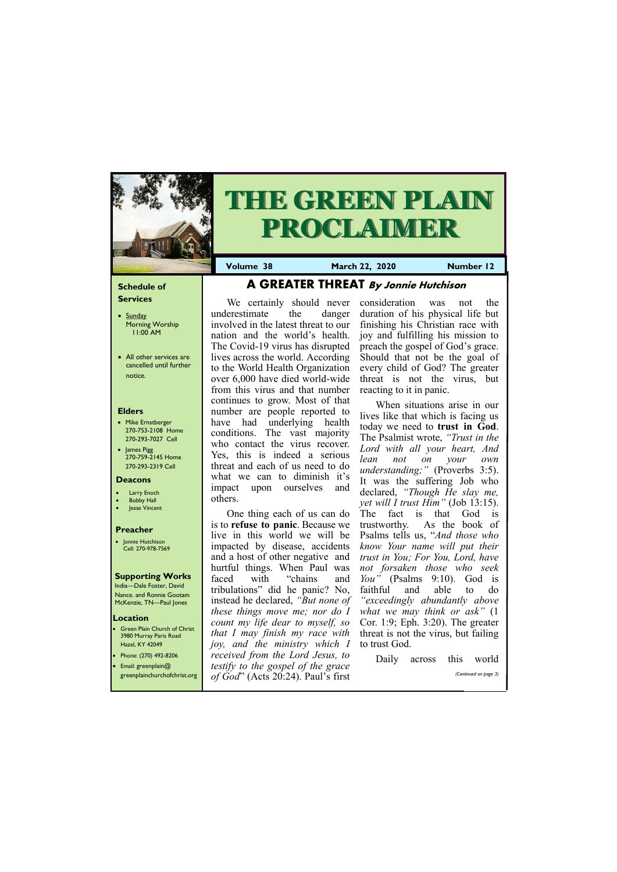#### **Schedule of Services**

- Sunday Morning Worship 11:00 AM
- All other services are cancelled until further notice.

#### **Elders**

**Green Plain Church of Christ** 3980 Murray Paris Road Hazel, KY 42049 • Phone: (270) 492-8206

- Mike Ernstberger 270-753-2108 Home 270-293-7027 Cell
- James Pigg 270-759-2145 Home 270-293-2319 Cell



# **THE GREEN PLAIN PROCLAIMER**

#### **Location**

**Volume 38 March 22, 2020 Number 12**

#### **Deacons**

- **Larry Enoch**
- **Bobby Hall**
- **Jesse Vincent**

#### **Preacher**

• Jonnie Hutchison Cell: 270-978-7569

#### **Supporting Works**

India—Dale Foster, David Nance. and Ronnie Gootam McKenzie, TN—Paul Jones

We certainly should never underestimate the danger involved in the latest threat to our nation and the world's health. The Covid-19 virus has disrupted lives across the world. According to the World Health Organization over 6,000 have died world-wide from this virus and that number continues to grow. Most of that number are people reported to have had underlying health conditions. The vast majority who contact the virus recover. Yes, this is indeed a serious threat and each of us need to do what we can to diminish it's impact upon ourselves and others.

### **A GREATER THREAT By Jonnie Hutchison**

One thing each of us can do is to **refuse to panic**. Because we live in this world we will be impacted by disease, accidents and a host of other negative and hurtful things. When Paul was faced with "chains and tribulations" did he panic? No, instead he declared, *"But none of these things move me; nor do I count my life dear to myself, so that I may finish my race with joy, and the ministry which I received from the Lord Jesus, to* 

| $\bullet$ Phone: (270) 492-8206 | received from the Lord Jesus, to      | Daily | across | this | world                 |
|---------------------------------|---------------------------------------|-------|--------|------|-----------------------|
| • Email: greenplain $@$         | testify to the gospel of the grace    |       |        |      |                       |
| greenplainchurchofchrist.org    | of $God$ " (Acts 20:24). Paul's first |       |        |      | (Continued on page 3) |
|                                 |                                       |       |        |      |                       |

consideration was not the duration of his physical life but finishing his Christian race with joy and fulfilling his mission to preach the gospel of God's grace. Should that not be the goal of every child of God? The greater threat is not the virus, but reacting to it in panic.

When situations arise in our lives like that which is facing us today we need to **trust in God**. The Psalmist wrote, *"Trust in the Lord with all your heart, And lean not on your own understanding;"* (Proverbs 3:5). It was the suffering Job who declared, *"Though He slay me, yet will I trust Him"* (Job 13:15). The fact is that God is trustworthy. As the book of Psalms tells us, "*And those who know Your name will put their trust in You; For You, Lord, have not forsaken those who seek You"* (Psalms 9:10). God is faithful and able to do *"exceedingly abundantly above what we may think or ask"* (1 Cor. 1:9; Eph. 3:20). The greater threat is not the virus, but failing to trust God.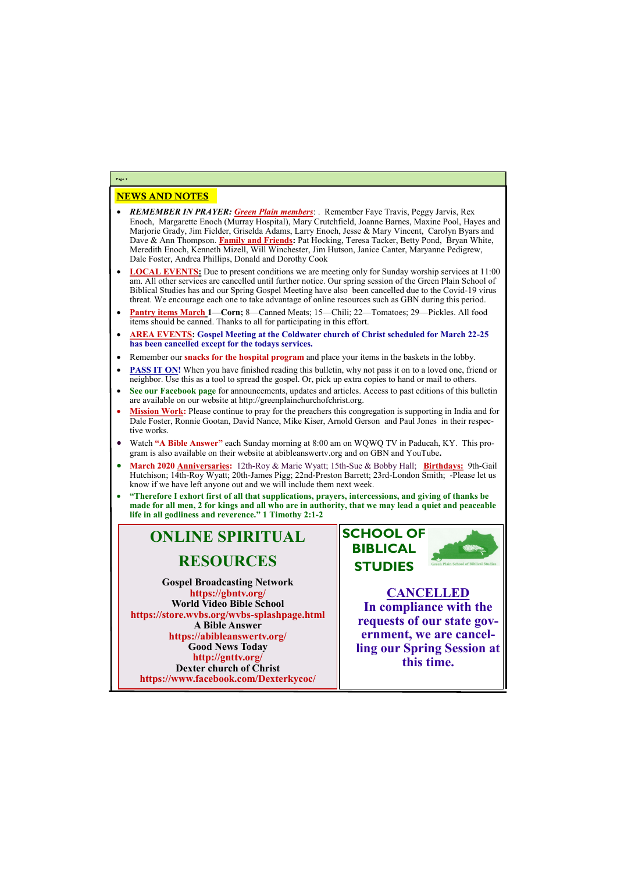#### NEWS AND NOTES

- *REMEMBER IN PRAYER: Green Plain members*: . Remember Faye Travis, Peggy Jarvis, Rex Enoch, Margarette Enoch (Murray Hospital), Mary Crutchfield, Joanne Barnes, Maxine Pool, Hayes and Marjorie Grady, Jim Fielder, Griselda Adams, Larry Enoch, Jesse & Mary Vincent, Carolyn Byars and Dave & Ann Thompson. **Family and Friends:** Pat Hocking, Teresa Tacker, Betty Pond, Bryan White, Meredith Enoch, Kenneth Mizell, Will Winchester, Jim Hutson, Janice Canter, Maryanne Pedigrew, Dale Foster, Andrea Phillips, Donald and Dorothy Cook
- **LOCAL EVENTS:** Due to present conditions we are meeting only for Sunday worship services at 11:00 am. All other services are cancelled until further notice. Our spring session of the Green Plain School of Biblical Studies has and our Spring Gospel Meeting have also been cancelled due to the Covid-19 virus threat. We encourage each one to take advantage of online resources such as GBN during this period.
- **Pantry items March 1—Corn;** 8—Canned Meats; 15—Chili; 22—Tomatoes; 29—Pickles. All food items should be canned. Thanks to all for participating in this effort.
- **AREA EVENTS: Gospel Meeting at the Coldwater church of Christ scheduled for March 22-25 has been cancelled except for the todays services.**
- Remember our **snacks for the hospital program** and place your items in the baskets in the lobby.
- **PASS IT ON!** When you have finished reading this bulletin, why not pass it on to a loved one, friend or neighbor. Use this as a tool to spread the gospel. Or, pick up extra copies to hand or mail to others.
- **See our Facebook page** for announcements, updates and articles. Access to past editions of this bulletin are available on our website at http://greenplainchurchofchrist.org.
- **Mission Work:** Please continue to pray for the preachers this congregation is supporting in India and for Dale Foster, Ronnie Gootan, David Nance, Mike Kiser, Arnold Gerson and Paul Jones in their respective works.
- Watch **"A Bible Answer"** each Sunday morning at 8:00 am on WQWQ TV in Paducah, KY. This program is also available on their website at abibleanswertv.org and on GBN and YouTube**.**
- **March 2020 Anniversaries:** 12th-Roy & Marie Wyatt; 15th-Sue & Bobby Hall; **Birthdays:** 9th-Gail Hutchison; 14th-Roy Wyatt; 20th-James Pigg; 22nd-Preston Barrett; 23rd-London Smith; -Please let us know if we have left anyone out and we will include them next week.
- **"Therefore I exhort first of all that supplications, prayers, intercessions, and giving of thanks be made for all men, 2 for kings and all who are in authority, that we may lead a quiet and peaceable life in all godliness and reverence." 1 Timothy 2:1-2**

**Page 2**

# **ONLINE SPIRITUAL**

### **RESOURCES**

**Gospel Broadcasting Network https://gbntv.org/ World Video Bible School https://store.wvbs.org/wvbs-splashpage.html A Bible Answer https://abibleanswertv.org/ Good News Today http://gnttv.org/ Dexter church of Christ https://www.facebook.com/Dexterkycoc/**



**CANCELLED In compliance with the requests of our state government, we are cancelling our Spring Session at** 

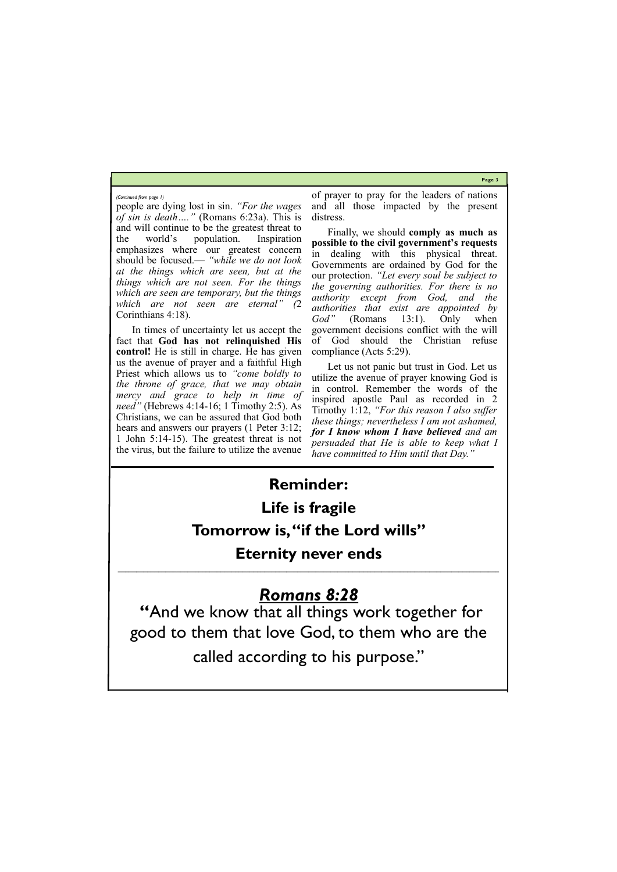**Page 3**

people are dying lost in sin. *"For the wages of sin is death…."* (Romans 6:23a). This is and will continue to be the greatest threat to the world's population. Inspiration emphasizes where our greatest concern should be focused.— *"while we do not look at the things which are seen, but at the things which are not seen. For the things which are seen are temporary, but the things which are not seen are eternal" (*2 Corinthians 4:18).

In times of uncertainty let us accept the fact that **God has not relinquished His control!** He is still in charge. He has given us the avenue of prayer and a faithful High Priest which allows us to *"come boldly to the throne of grace, that we may obtain mercy and grace to help in time of need"* (Hebrews 4:14-16; 1 Timothy 2:5). As Christians, we can be assured that God both hears and answers our prayers (1 Peter 3:12; 1 John 5:14-15). The greatest threat is not the virus, but the failure to utilize the avenue

### **Eternity never ends**  $\mathcal{L}_\mathcal{L} = \{ \mathcal{L}_\mathcal{L} = \{ \mathcal{L}_\mathcal{L} = \{ \mathcal{L}_\mathcal{L} = \{ \mathcal{L}_\mathcal{L} = \{ \mathcal{L}_\mathcal{L} = \{ \mathcal{L}_\mathcal{L} = \{ \mathcal{L}_\mathcal{L} = \{ \mathcal{L}_\mathcal{L} = \{ \mathcal{L}_\mathcal{L} = \{ \mathcal{L}_\mathcal{L} = \{ \mathcal{L}_\mathcal{L} = \{ \mathcal{L}_\mathcal{L} = \{ \mathcal{L}_\mathcal{L} = \{ \mathcal{L}_\mathcal{$

of prayer to pray for the leaders of nations and all those impacted by the present distress.

Finally, we should **comply as much as possible to the civil government's requests**  in dealing with this physical threat. Governments are ordained by God for the our protection. *"Let every soul be subject to the governing authorities. For there is no authority except from God, and the authorities that exist are appointed by God"* (Romans 13:1). Only when government decisions conflict with the will of God should the Christian refuse compliance (Acts 5:29).

Let us not panic but trust in God. Let us utilize the avenue of prayer knowing God is in control. Remember the words of the inspired apostle Paul as recorded in 2 Timothy 1:12, *"For this reason I also suffer these things; nevertheless I am not ashamed, for I know whom I have believed and am persuaded that He is able to keep what I have committed to Him until that Day."*

*(Continued from page 1)*

# **Reminder: Life is fragile Tomorrow is, "if the Lord wills"**

## *Romans 8:28*

**"**And we know that all things work together for good to them that love God, to them who are the

called according to his purpose."